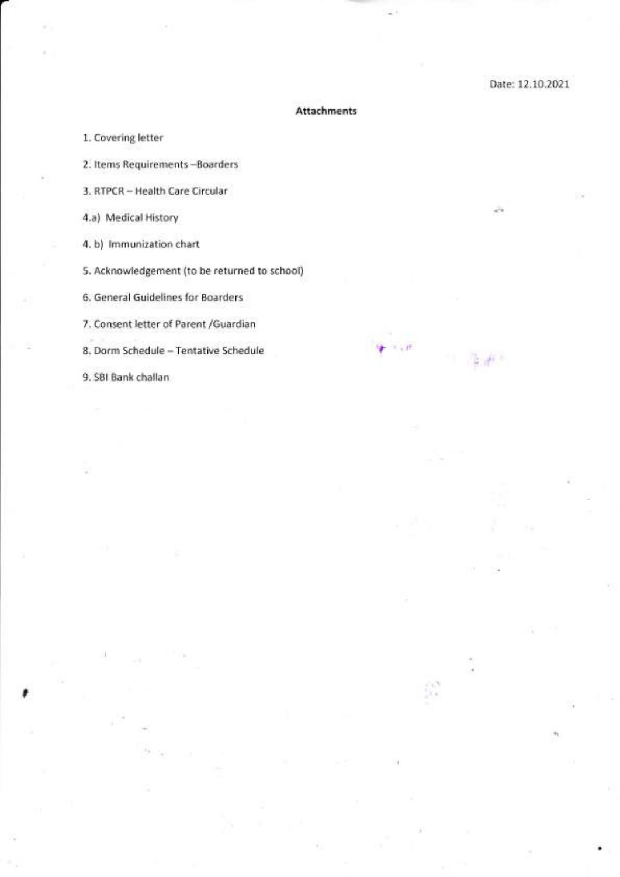### Attachments

ldF ' ' itt'

 $4.41$ 

a'a \ lr.

1. Covering letter

2. ltems Requirements -Boarders

3. RTPCR - Health Care Circular

4.a) Medical History

4. b) lmmunization chart

5. Acknowledgement (to be returned to school)

6. General Guidelines for Boarders

7. Consent letter of Parent /Guardian

8. Dorm Schedule - Tentative Schedule

9. SBI Bank challan

I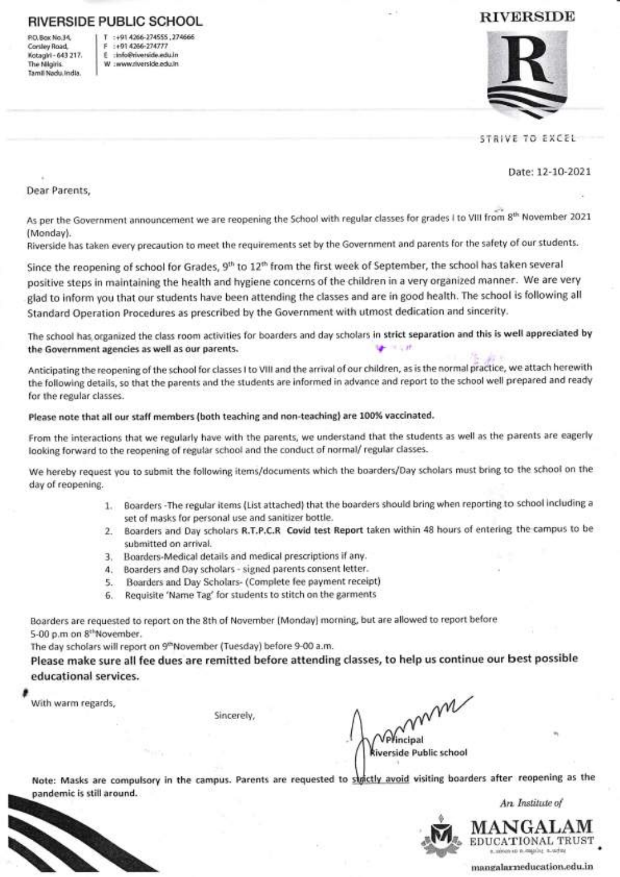### NIVERSIDE PUBLIC SCHOOL

P.O.8ox No.34, Corsley Road, Kotagirl - 643 217. The Nllgiris. Tamll Nadu.lndla.

:+91 4266-274555, 274666 F :+91 4266-274777 E :info@rlverside.edu.ln W : www.riverside.edu.in

## **RIVERSIDE**



STRIVE TO EXCEL

Date:12-10-2O21

Dear Parents,

As per the Government announcement we are reopening the School with regular classes for grades I to VIII from 8<sup>th</sup> November 2021 (Monday).

Riverside has taken every precaution to meet the requirements set by the Government and parents for the safety of our students.

Since the reopening of school for Grades, 9<sup>th</sup> to 12<sup>th</sup> from the first week of September, the school has taken several positive steps in maintaining the health and hygiene concerns of the children in a very organized manner. We are very . glad to inform you that our students have been attending the classes and are in good health. The school is following all Standard Operation Procedures as prescribed by the Government with utmost dedication and sincerity.

The school has organized the class room activities for boarders and day scholars in strict separation and this is well appreciated by the Government agencies as well as our parents.

Anticipating the reopening of the school for classes I to VIII and the arrival of our children, as is the normal practice, we attach herewith the following details, so that the parents and the students are informed in advance and report to the school well prepared and ready for the regular classes.

### Please note that all our staff members (both teaching and non-teaching) are 100% vaccinated.

From the interactions that we regularly have with the parents, we understand that the students as well as the parents are eagerly looking forward to the reopening of regular school and the conduct of normal/ regular classes.

We hereby request you to submit the following items/documents which the boarders/Day scholars must bring to the school on the day of reopening.

- 1. Boarders -The regular items (List attached) that the boarders should bring when reporting to school including <sup>a</sup> set of masks for personal use and sanitizer bottle.
- 2. Boarders and Day scholars R.T.P.C.R Covid test Report taken within 48 hours of entering the campus to be submitted on arrival.
- 3. Boarders-Medical details and medical prescriptions if any.
- 4. Boarders and Day scholars signed parents consent letter.
- 5. Boarders and Day Scholars- (Complete fee payment receipt)
- 6. Requisite 'Name Tag' for students to stitch on the garments

Boarders are requested to report on the 8th of November (Monday) morning, but are allowed to report before 5-00 p.m on 8<sup>th</sup>November.

The day scholars will report on 9<sup>th</sup>November (Tuesday) before 9-00 a.m.

Please make sure all fee dues are remitted before attending classes, to help us continue our best possible educational services.

With warm regards,

,

Sincerely,

m ncipal iverside Public school

Note: Masks are compulsory in the campus. Parents are requested to strictly avoid visiting boarders after reopening as the pandemic is still around.



An- Institute of



mangalarneducation'edu. in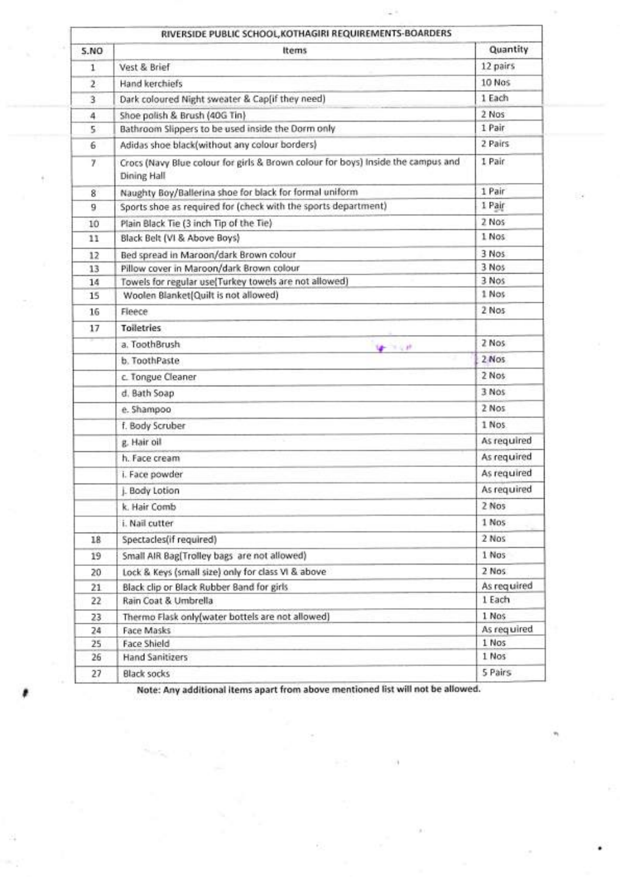| 5.NO           | <b>Items</b>                                                                                           | Quantity       |
|----------------|--------------------------------------------------------------------------------------------------------|----------------|
| 1              | Vest & Brief                                                                                           | 12 pairs       |
| $\overline{z}$ | Hand kerchiefs                                                                                         | 10 Nos         |
| 3              | Dark coloured Night sweater & Cap[if they need)                                                        | 1 Each         |
| 4              | Shoe polish & Brush (40G Tin)                                                                          | 2 Nos          |
| 5              | Bathroom Slippers to be used inside the Dorm only                                                      | 1 Pair         |
| 6              | Adidas shoe black(without any colour borders)                                                          | 2 Pairs        |
|                |                                                                                                        | 1 Pair         |
| 7.             | Crocs (Navy Blue colour for girls & Brown colour for boys) Inside the campus and<br><b>Dining Hall</b> |                |
| 8              | Naughty Boy/Ballerina shoe for black for formal uniform                                                | 1 Pair         |
| 9              | Sports shoe as required for (check with the sports department)                                         | 1 Pair         |
| 10             | Plain Black Tie (3 inch Tip of the Tie)                                                                | 2 Nos          |
| 11             | Black Belt (VI & Above Boys)                                                                           | 1 Nos          |
| 12             | Bed spread in Maroon/dark Brown colour                                                                 | 3 Nos          |
| 13             | Pillow cover in Maroon/dark Brown colour                                                               | 3 Nos          |
| 14             | Towels for regular use(Turkey towels are not allowed)                                                  | 3 Nos          |
| 15             | Woolen Blanket(Quilt is not allowed)                                                                   | 1 Nos          |
| 16             | Fleece                                                                                                 | 2 Nos          |
| 17             | <b>Toiletries</b>                                                                                      |                |
|                | a. ToothBrush<br>$4 - 141$                                                                             | 2 Nos          |
|                | b. ToothPaste                                                                                          | $2$ Nos        |
|                | c. Tongue Cleaner                                                                                      | 2 Nos          |
|                | d. Bath Soap                                                                                           | 3 Nos          |
|                | e. Shampoo                                                                                             | 2 Nos          |
|                | f. Body Scruber                                                                                        | 1 Nos.         |
|                | g. Hair oil                                                                                            | As required    |
|                | h. Face cream                                                                                          | As required    |
|                | i. Face powder                                                                                         | As required    |
|                | L Body Lotion                                                                                          | As required    |
|                |                                                                                                        | 2 Nos          |
|                | k. Hair Comb                                                                                           | 1 Nos          |
|                | i. Nail cutter                                                                                         |                |
| 18             | Spectacles(if required)                                                                                | 2 Nos          |
| 19             | Small AIR Bag(Trolley bags are not allowed)                                                            | 1 Nos          |
| 20             | Lock & Keys (small size) only for class VI & above                                                     | 2 Nos          |
| 21             | Black clip or Black Rubber Band for girls                                                              | As required    |
| 22             | Rain Coat & Umbrella                                                                                   | 1 Each         |
| 23             | Thermo Flask only(water bottels are not allowed)                                                       | 1 Nos          |
| 24             | <b>Face Masks</b>                                                                                      | As required    |
| 25             | Face Shield                                                                                            | 1 Nos<br>1 Nos |
| 26             | <b>Hand Sanitizers</b>                                                                                 |                |

щì

I

Note: Any additional items apart from above mentioned list will not be allowed.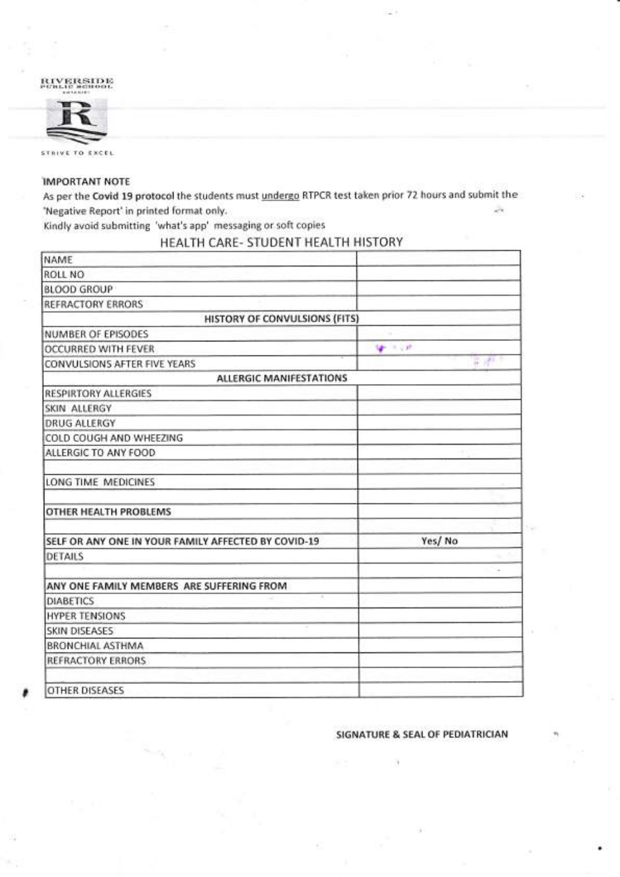#### $\rm\overline{RIVERSIDE}$ realle school iolirirtrt



STRIVE TO EXCEL

,

### IMPORTANT NOTE

As per the Covid 19 protocol the students must *undergo* RTPCR test taken prior 72 hours and submit the 'Negative Report'in printed format only. è.

Kindly avoid submitting 'what's app' messaging or soft copies

## HEALTH CARE. STUDENT HEALTH HISTORY

| NAME                                                |               |
|-----------------------------------------------------|---------------|
| ROLL NO                                             |               |
| <b>BLOOD GROUP</b>                                  |               |
| REFRACTORY ERRORS                                   |               |
| HISTORY OF CONVULSIONS (FITS)                       |               |
| NUMBER OF EPISODES                                  |               |
| OCCURRED WITH FEVER                                 | <b>UP FOR</b> |
| CONVULSIONS AFTER FIVE YEARS                        | 第9部分          |
| ALLERGIC MANIFESTATIONS                             |               |
| <b>RESPIRTORY ALLERGIES</b>                         |               |
| SKIN ALLERGY                                        |               |
| <b>DRUG ALLERGY</b>                                 |               |
| COLD COUGH AND WHEEZING                             |               |
| ALLERGIC TO ANY FOOD                                |               |
| LONG TIME MEDICINES                                 |               |
| OTHER HEALTH PROBLEMS                               |               |
| SELF OR ANY ONE IN YOUR FAMILY AFFECTED BY COVID-19 | Yes/No        |
| DETAILS                                             |               |
| ANY ONE FAMILY MEMBERS ARE SUFFERING FROM           |               |
| <b>DIABETICS</b>                                    |               |
| <b>HYPER TENSIONS</b>                               |               |
| <b>SKIN DISEASES</b>                                |               |
| BRONCHIAL ASTHMA                                    |               |
| REFRACTORY ERRORS                                   |               |
| <b>OTHER DISEASES</b>                               |               |

### SIGNATURE & SEAL OF PEDIATRICIAN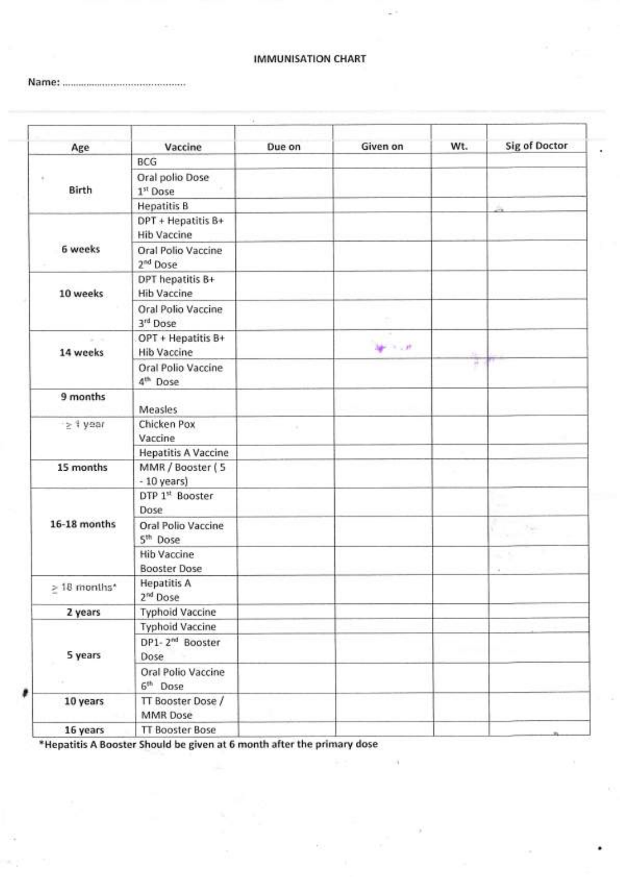### IMMUNISATION CHART

Name:

| Age               | Vaccine                                    | Due on   | Given on    | Wt. | Sig of Doctor       |
|-------------------|--------------------------------------------|----------|-------------|-----|---------------------|
|                   | BCG                                        |          |             |     |                     |
| Birth             | Oral polio Dose<br>1 <sup>st</sup> Dose    |          |             |     |                     |
|                   | <b>Hepatitis B</b>                         |          |             |     |                     |
|                   | DPT + Hepatitis B+<br><b>Hib Vaccine</b>   |          |             |     |                     |
| 6 weeks           | Oral Polio Vaccine<br>2 <sup>nd</sup> Dose |          |             |     |                     |
| 10 weeks          | DPT hepatitis B+<br><b>Hib Vaccine</b>     |          |             |     |                     |
|                   | Oral Polio Vaccine<br>3rd Dose             |          |             |     |                     |
| 14 weeks          | OPT + Hepatitis B+<br><b>Hib Vaccine</b>   |          | $1 - 1 - 1$ |     |                     |
|                   | Oral Polio Vaccine<br>4 <sup>th</sup> Dose |          |             | ×   |                     |
| 9 months          | Measles                                    |          |             |     |                     |
| $\geq 1$ year     | Chicken Pox<br>Vaccine                     | $\alpha$ |             |     |                     |
|                   | <b>Hepatitis A Vaccine</b>                 |          |             |     |                     |
| 15 months         | MMR / Booster (5<br>$-10$ years)           |          |             |     |                     |
|                   | DTP 1st Booster<br><b>Dose</b>             |          |             |     |                     |
| 16-18 months      | Oral Polio Vaccine<br>5 <sup>th</sup> Dose |          |             |     | 750<br><b>CALLS</b> |
|                   | <b>Hib Vaccine</b><br><b>Booster Dose</b>  |          |             |     | $-5$                |
| $\geq 18$ months* | <b>Hepatitis A</b><br>2 <sup>nd</sup> Dose |          |             |     |                     |
| 2 years           | <b>Typhoid Vaccine</b>                     |          |             |     |                     |
|                   | <b>Typhoid Vaccine</b>                     |          |             |     |                     |
| 5 years           | DP1-2 <sup>nd</sup> Booster<br><b>Dose</b> |          |             |     |                     |
|                   | Oral Polio Vaccine<br>6 <sup>th</sup> Dose |          |             |     |                     |
| 10 years          | TT Booster Dose /<br>MMR Dose              |          |             |     |                     |
| 16 years          | <b>TT Booster Bose</b>                     |          |             |     |                     |

18

\*Hepatitis A Booster Should be given at 6 month after the primary dose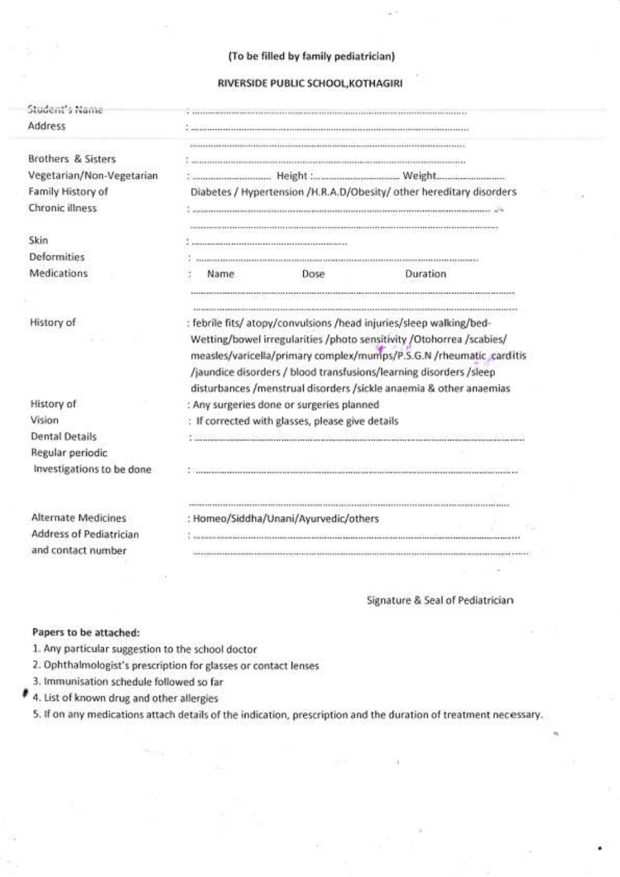| Student's Name                                                    |                                           |                                                  |                                                                      |
|-------------------------------------------------------------------|-------------------------------------------|--------------------------------------------------|----------------------------------------------------------------------|
| Address                                                           |                                           |                                                  |                                                                      |
|                                                                   |                                           |                                                  |                                                                      |
| <b>Brothers &amp; Sisters</b>                                     |                                           |                                                  |                                                                      |
|                                                                   |                                           |                                                  |                                                                      |
| Vegetarian/Non-Vegetarian                                         |                                           |                                                  |                                                                      |
| Family History of                                                 |                                           |                                                  | Diabetes / Hypertension /H.R.A.D/Obesity/ other hereditary disorders |
| Chronic illness                                                   |                                           |                                                  |                                                                      |
|                                                                   |                                           |                                                  |                                                                      |
| Skin<br><b>Deformities</b>                                        |                                           |                                                  |                                                                      |
|                                                                   |                                           |                                                  |                                                                      |
| Medications                                                       | Name                                      | Dose                                             | Duration                                                             |
| History of                                                        |                                           |                                                  | : febrile fits/ atopy/convulsions /head injuries/sleep walking/bed-  |
|                                                                   |                                           |                                                  |                                                                      |
|                                                                   |                                           |                                                  |                                                                      |
|                                                                   |                                           |                                                  | Wetting/bowel irregularities /photo sensitivity /Otohorrea /scabies/ |
|                                                                   |                                           |                                                  | /jaundice disorders / blood transfusions/learning disorders /sleep   |
|                                                                   |                                           |                                                  | disturbances /menstrual disorders /sickle anaemia & other anaemias   |
|                                                                   | : Any surgeries done or surgeries planned |                                                  |                                                                      |
|                                                                   |                                           | : If corrected with glasses, please give details |                                                                      |
|                                                                   |                                           |                                                  |                                                                      |
| History of<br>Vision<br><b>Dental Details</b><br>Regular periodic |                                           |                                                  |                                                                      |
| Investigations to be done                                         |                                           |                                                  | measles/varicella/primary complex/mumps/P.S.G.N /rheumatic_carditis  |
|                                                                   |                                           |                                                  |                                                                      |
|                                                                   |                                           |                                                  |                                                                      |
|                                                                   | : Homeo/Siddha/Unani/Ayurvedic/others     |                                                  |                                                                      |
| <b>Alternate Medicines</b><br>Address of Pediatrician             |                                           |                                                  |                                                                      |

ITo he filled by family pediatriciant

### Signature & Seal of Pediatrician

### Papers to be attached:

- 1. Any particular suggestion to the school doctor
- 2. Ophthalmologist's prescription for glasses or contact lenses
- 3. Immunisation schedule followed so far
- 4. List of known drug and other allergies
	- 5. If on any medications attach details of the indication, prescription and the duration of treatment necessary.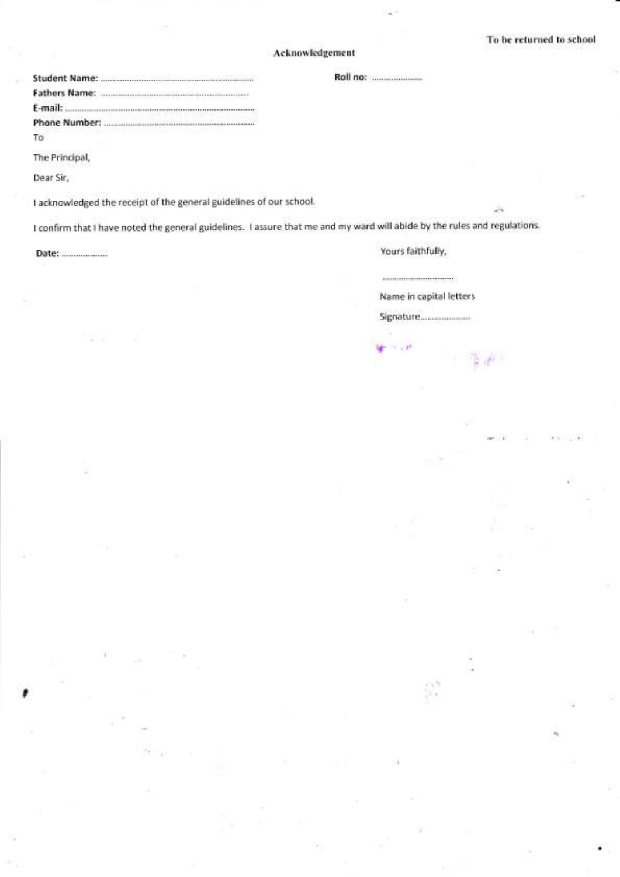### Acknowledgement

| E-mail:             |                               |
|---------------------|-------------------------------|
| Phone Number:       |                               |
| To                  | ment to Malaka and San San Co |
| 1920년 2020년 10월 11일 |                               |

The Principal,

Dear Sir,

I

<sup>I</sup>acknowledged the receipt of the general guidelines of our school.

I confirm that I have noted the general guidelines. I assure that me and my ward will abide by the rules and regulations.

Date: **Manual Community**, **Provide a later of the United States** of Provide States and Provide States of Provide States and Provide States of Provide States and Provide States and Provide States and Provide States and Prov

 $\label{eq:1} \begin{minipage}{0.9\linewidth} \begin{minipage}{0.9\linewidth} \begin{minipage}{0.9\linewidth} \begin{minipage}{0.9\linewidth} \end{minipage} \begin{minipage}{0.9\linewidth} \begin{minipage}{0.9\linewidth} \end{minipage} \begin{minipage}{0.9\linewidth} \begin{minipage}{0.9\linewidth} \end{minipage} \begin{minipage}{0.9\linewidth} \end{minipage} \begin{minipage}{0.9\linewidth} \end{minipage} \begin{minipage}{0.9\linewidth} \end{minipage} \begin{minipage}{0.9\linewidth} \begin{minipage}{0.9\linewidth} \end$ 

Name in capital letters

Signature.

a't \ lr. ,|,

 $f = \frac{1}{2}$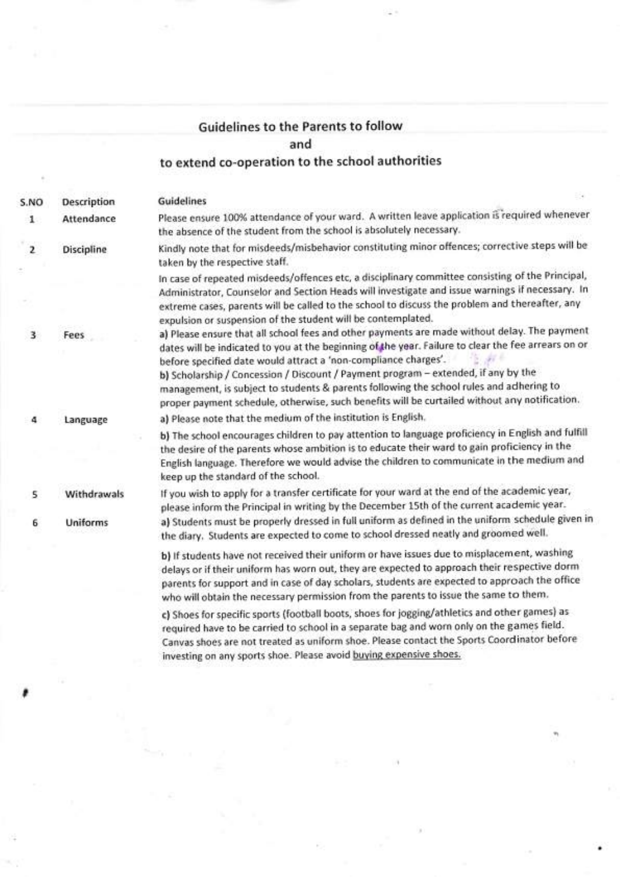# Guidelines to the Parents to follow and to extend co-operation to the school authorities

S.NO Description Guidelines 1 Attendance Please ensure 100% attendance of your ward. A written leave application is required whenever the absence of the student from the school is absolutely necessary. 2 Discipline Kindly note that for misdeeds/misbehavior constituting minor offences; corrective steps will be taken by the respective staff. ln case of repeated misdeeds/offences etc, a disciplinary committee consisting of the Principal, Administrator, Counselor and Section Heads will investigate and issue warnings if necessary. ln extreme cases, parents will be called to the school to discuss the problem and thereafter, any expulsion or suspension of the student will be contemplated. 3 Fees a) please ensure that all school fees and other payments are made without delay. The payment dates will be indicated to you at the beginning of the year. Failure to clear the fee arrears on or before specified date would attract a 'non-compliance charges'. bl Scholarship / Concession / Discount / Payment program - extended, if any by the management, is subiect to students & parents following the school rules and adhering to proper payment schedule, otherwise, such benefits will be curtailed without any notification. 4 Language al Please note that the medium ofthe institution is English. . b) The school encourages children to pay attention to language proficiency in English and fulfill the desire of the parents whose ambition is to educate their ward to gain proficiency in the English language. Therefore we would advise the children to communicate in the medium and keep up the standard of the school. S Withdrawals If you wish to apply for a transfer certificate for your ward at the end of the academic year, please inform the principal in writing by the December 15th of the current academic year. 6 Uniforms al Students must be properly dressed in full uniform as defined in the uniform schedule given in the diary. Students are expected to come to school dressed neatly and groomed well. b) lf students have not received their uniform or have issues due to misplacement, washing delays or if their uniform has worn out, they are expected to approach their respective dorm parents for support and in case of day scholars, students are expected to approach the office who will obtain the necessary permission from the parents to issue the same to them.

,

c) Shoes for specific sports (football boots, shoes for jogging/athletics and other games) as required have to be carried to school in a separate bag and worn only on the games field' Canvas shoes are not treated as uniform shoe. Please contact the Sports Coordinator before investing on any sports shoe. Please avoid buying expensive shoes.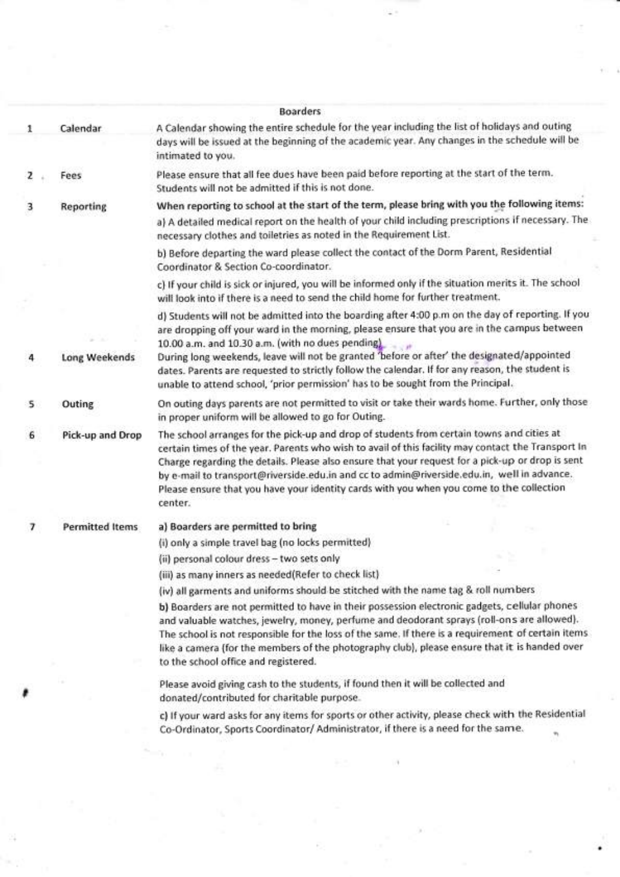|   |                        | <b>Boarders</b>                                                                                                                                                                                                                                                                                                                                                                                                                                                                                          |
|---|------------------------|----------------------------------------------------------------------------------------------------------------------------------------------------------------------------------------------------------------------------------------------------------------------------------------------------------------------------------------------------------------------------------------------------------------------------------------------------------------------------------------------------------|
| 1 | Calendar               | A Calendar showing the entire schedule for the year including the list of holidays and outing<br>days will be issued at the beginning of the academic year. Any changes in the schedule will be<br>intimated to you.                                                                                                                                                                                                                                                                                     |
| z | Fees                   | Please ensure that all fee dues have been paid before reporting at the start of the term.<br>Students will not be admitted if this is not done.                                                                                                                                                                                                                                                                                                                                                          |
| 3 | <b>Reporting</b>       | When reporting to school at the start of the term, please bring with you the following items:                                                                                                                                                                                                                                                                                                                                                                                                            |
|   |                        | a) A detailed medical report on the health of your child including prescriptions if necessary. The<br>necessary clothes and toiletries as noted in the Requirement List.                                                                                                                                                                                                                                                                                                                                 |
|   |                        | b) Before departing the ward please collect the contact of the Dorm Parent, Residential<br>Coordinator & Section Co-coordinator.                                                                                                                                                                                                                                                                                                                                                                         |
|   |                        | c) If your child is sick or injured, you will be informed only if the situation merits it. The school<br>will look into if there is a need to send the child home for further treatment.                                                                                                                                                                                                                                                                                                                 |
| 4 | <b>Long Weekends</b>   | d) Students will not be admitted into the boarding after 4:00 p.m on the day of reporting. If you<br>are dropping off your ward in the morning, please ensure that you are in the campus between<br>10.00 a.m. and 10.30 a.m. (with no dues pending)<br>During long weekends, leave will not be granted 'before or after' the designated/appointed<br>dates. Parents are requested to strictly follow the calendar. If for any reason, the student is                                                    |
|   |                        | unable to attend school, 'prior permission' has to be sought from the Principal.                                                                                                                                                                                                                                                                                                                                                                                                                         |
| 5 | Outing                 | On outing days parents are not permitted to visit or take their wards home. Further, only those<br>in proper uniform will be allowed to go for Outing.                                                                                                                                                                                                                                                                                                                                                   |
| 6 | Pick-up and Drop       | The school arranges for the pick-up and drop of students from certain towns and cities at<br>certain times of the year. Parents who wish to avail of this facility may contact the Transport In<br>Charge regarding the details. Please also ensure that your request for a pick-up or drop is sent<br>by e-mail to transport@riverside.edu.in and cc to admin@riverside.edu.in, well in advance.<br>Please ensure that you have your identity cards with you when you come to the collection<br>center. |
| 7 | <b>Permitted Items</b> | a) Boarders are permitted to bring                                                                                                                                                                                                                                                                                                                                                                                                                                                                       |
|   |                        | (i) only a simple travel bag (no locks permitted)                                                                                                                                                                                                                                                                                                                                                                                                                                                        |
|   |                        | (ii) personal colour dress - two sets only                                                                                                                                                                                                                                                                                                                                                                                                                                                               |
|   |                        | (iii) as many inners as needed(Refer to check list)                                                                                                                                                                                                                                                                                                                                                                                                                                                      |
|   |                        | (iv) all garments and uniforms should be stitched with the name tag & roll numbers                                                                                                                                                                                                                                                                                                                                                                                                                       |
|   |                        | b) Boarders are not permitted to have in their possession electronic gadgets, cellular phones<br>and valuable watches, jewelry, money, perfume and deodorant sprays (roll-ons are allowed).<br>The school is not responsible for the loss of the same. If there is a requirement of certain items.<br>like a camera (for the members of the photography club), please ensure that it is handed over<br>to the school office and registered.                                                              |
|   |                        | Please avoid giving cash to the students, if found then it will be collected and<br>donated/contributed for charitable purpose.                                                                                                                                                                                                                                                                                                                                                                          |
|   |                        | c) If your ward asks for any items for sports or other activity, please check with the Residential<br>Co-Ordinator, Sports Coordinator/ Administrator, if there is a need for the same.                                                                                                                                                                                                                                                                                                                  |

 $\frac{1}{2}$ 

n a

 $\tilde{\chi}(\cdot)$ 

 $\frac{1}{2}$ 

 $\frac{1}{2}$ 

 $\mathcal{L}^{\mathcal{L}}$  ,  $\mathcal{L}^{\mathcal{L}}$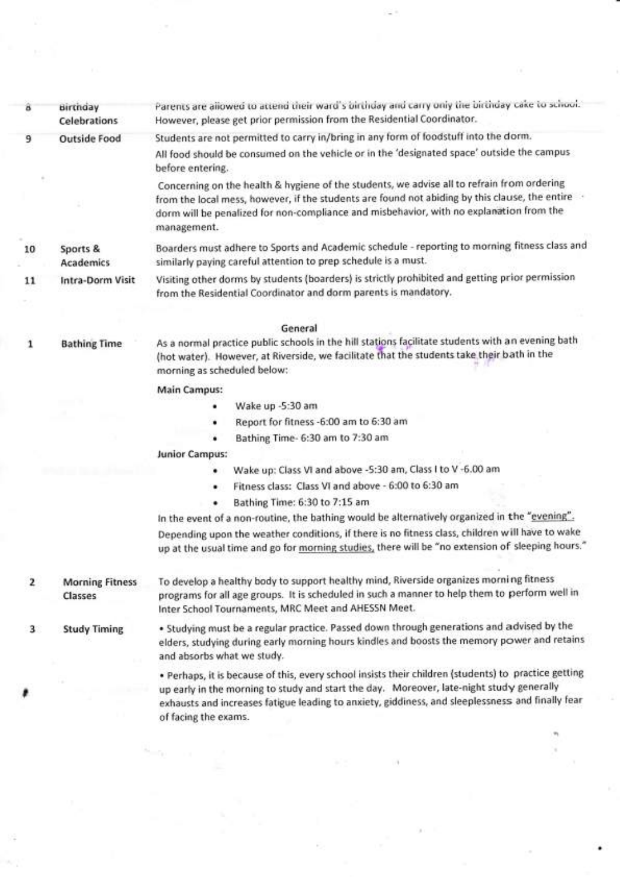| â            | <b>Birthday</b><br><b>Celebrations</b> | Parents are allowed to attend their ward's birthday and carry only the birthday cake to school.<br>However, please get prior permission from the Residential Coordinator.                                                                                                                                                    |
|--------------|----------------------------------------|------------------------------------------------------------------------------------------------------------------------------------------------------------------------------------------------------------------------------------------------------------------------------------------------------------------------------|
| 9            | <b>Outside Food</b>                    | Students are not permitted to carry in/bring in any form of foodstuff into the dorm.                                                                                                                                                                                                                                         |
|              |                                        | All food should be consumed on the vehicle or in the 'designated space' outside the campus<br>before entering.                                                                                                                                                                                                               |
|              |                                        | Concerning on the health & hygiene of the students, we advise all to refrain from ordering<br>from the local mess, however, if the students are found not abiding by this clause, the entire .<br>dorm will be penalized for non-compliance and misbehavior, with no explanation from the<br>management.                     |
| 10           | Sports &<br><b>Academics</b>           | Boarders must adhere to Sports and Academic schedule - reporting to morning fitness class and<br>similarly paying careful attention to prep schedule is a must.                                                                                                                                                              |
| 11           | Intra-Dorm Visit                       | Visiting other dorms by students (boarders) is strictly prohibited and getting prior permission<br>from the Residential Coordinator and dorm parents is mandatory.                                                                                                                                                           |
|              |                                        | General                                                                                                                                                                                                                                                                                                                      |
| 1            | <b>Bathing Time</b>                    | As a normal practice public schools in the hill stations facilitate students with an evening bath<br>(hot water). However, at Riverside, we facilitate that the students take their bath in the<br>morning as scheduled below:                                                                                               |
|              |                                        | <b>Main Campus:</b>                                                                                                                                                                                                                                                                                                          |
|              |                                        | Wake up -5:30 am                                                                                                                                                                                                                                                                                                             |
|              |                                        | Report for fitness -6:00 am to 6:30 am                                                                                                                                                                                                                                                                                       |
|              |                                        | Bathing Time- 6:30 am to 7:30 am<br>٠                                                                                                                                                                                                                                                                                        |
|              |                                        | <b>Junior Campus:</b>                                                                                                                                                                                                                                                                                                        |
|              |                                        | Wake up: Class VI and above -5:30 am, Class I to V -6.00 am<br>٠                                                                                                                                                                                                                                                             |
|              |                                        | Fitness class: Class VI and above - 6:00 to 6:30 am<br>٠                                                                                                                                                                                                                                                                     |
|              |                                        | Bathing Time: 6:30 to 7:15 am                                                                                                                                                                                                                                                                                                |
|              |                                        | In the event of a non-routine, the bathing would be alternatively organized in the "evening".                                                                                                                                                                                                                                |
|              |                                        | Depending upon the weather conditions, if there is no fitness class, children will have to wake<br>up at the usual time and go for morning studies, there will be "no extension of sleeping hours."                                                                                                                          |
| $\mathbf{z}$ | <b>Morning Fitness</b><br>Classes      | To develop a healthy body to support healthy mind, Riverside organizes morning fitness<br>programs for all age groups. It is scheduled in such a manner to help them to perform well in<br>Inter School Tournaments, MRC Meet and AHESSN Meet.                                                                               |
| 3            | <b>Study Timing</b>                    | . Studying must be a regular practice. Passed down through generations and advised by the<br>elders, studying during early morning hours kindles and boosts the memory power and retains<br>and absorbs what we study.                                                                                                       |
|              |                                        | . Perhaps, it is because of this, every school insists their children (students) to practice getting<br>up early in the morning to study and start the day. Moreover, late-night study generally<br>exhausts and increases fatigue leading to anxiety, giddiness, and sleeplessness and finally fear<br>of facing the exams. |
|              |                                        |                                                                                                                                                                                                                                                                                                                              |
|              |                                        |                                                                                                                                                                                                                                                                                                                              |

×,

 $\sim 10^7$ 

 $\frac{\partial}{\partial x}$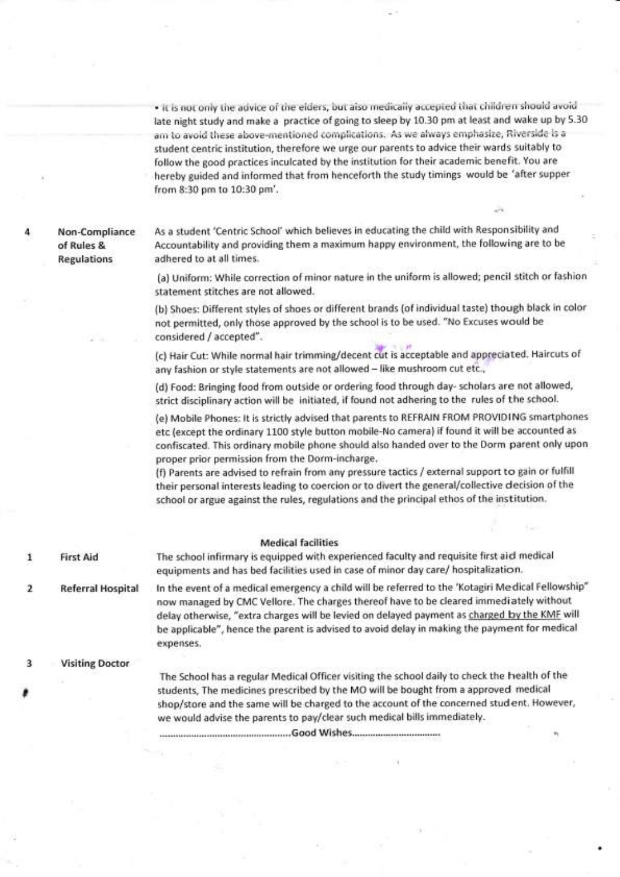. It is not only the advice of the elders, but also medically accepted that children should avoid late night study and make a practice of going to sleep by 10.30 pm at least and wake up by 5.30 am to avoid these above-mentioned complications. As we always emphasize, Riverside is a student centric institution, therefore we urge our parents to advice their wards suitably to follow the good practices inculcated by the institution for their academic benefit. You are hereby guided and informed that from henceforth the study timings would be 'after supper from 8:30 pm to 10:30 pm'.

Non-Compliance of Rules & **Regulations** 

As a student 'Centric School' which believes in educating the child with Responsibility and Accountability and providing them a maximum happy environment, the following are to be adhered to at all times.

(a) Uniform: While correction of minor nature in the uniform is allowed; pencil stitch or fashion statement stitches are not allowed.

(b) Shoes: Different styles of shoes or different brands (of individual taste) though black in color not permitted, only those approved by the school is to be used. "No Excuses would be considered / accepted".

(c) Hair Cut: While normal hair trimming/decent cut is acceptable and appreciated. Haircuts of any fashion or style statements are not allowed - like mushroom cut etc.,

(d) Food: Bringing food from outside or ordering food through day- scholars are not allowed, strict disciplinary action will be initiated, if found not adhering to the rules of the school.

(e) Mobile Phones: It is strictly advised that parents to REFRAIN FROM PROVIDING smartphones etc (except the ordinary 1100 style button mobile-No camera) if found it will be accounted as confiscated. This ordinary mobile phone should also handed over to the Dorm parent only upon proper prior permission from the Dorm-incharge.

(f) Parents are advised to refrain from any pressure tactics / external support to gain or fulfill their personal interests leading to coercion or to divert the general/collective decision of the school or argue against the rules, regulations and the principal ethos of the institution.

#### **Medical facilities**

The school infirmary is equipped with experienced faculty and requisite first aid medical **First Aid** equipments and has bed facilities used in case of minor day care/ hospitalization.

In the event of a medical emergency a child will be referred to the 'Kotagiri Medical Fellowship"  $\overline{2}$ **Referral Hospital** now managed by CMC Vellore. The charges thereof have to be cleared immediately without delay otherwise, "extra charges will be levied on delayed payment as charged by the KMF will be applicable", hence the parent is advised to avoid delay in making the payment for medical expenses.

3 **Visiting Doctor** 

1

The School has a regular Medical Officer visiting the school daily to check the health of the students. The medicines prescribed by the MO will be bought from a approved medical shop/store and the same will be charged to the account of the concerned stud ent. However, we would advise the parents to pay/clear such medical bills immediately.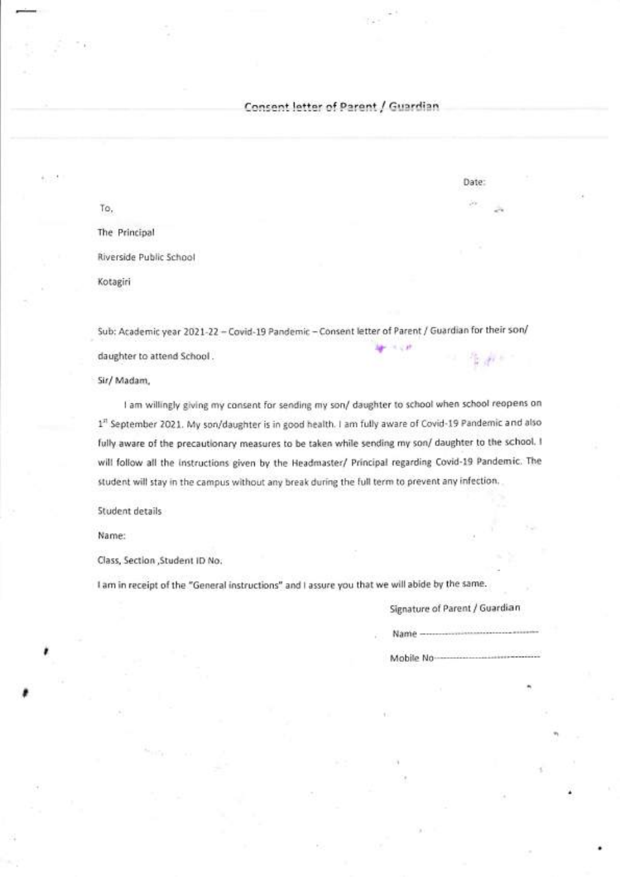Consent letter of Parent / Guardi:

To, The Principal Rlverside Public School Kotagiri

Sub: Academic year 2021-22 - Covid-19 Pandemic - Consent letter of Parent / Guardian for their son/  $-1.4$ daughter to attend School . il

Sir/ Madam,

I am willingly giving my consent for sending my son/ daughter to school when school reopens on 1<sup>n</sup> September 2021. My son/daughter is in good health. I am fully aware of Covid-19 Pandemic and also fully aware of the precautionary measures to be taken while sending my son/ daughter to the school. <sup>I</sup> will follow all the instructions given by the Headmaster/ Principal regarding Covid-19 Pandemic. The student will stay in the campus without any break during the full term to prevent any infection.

Student details

Name:

I

Class, Section ,Student lD No.

<sup>I</sup>arn in receipt of the "General instructions" and I assure you that we will abide by the same.

Signature of Parent / Guardian

Name

Mobile No-

Date: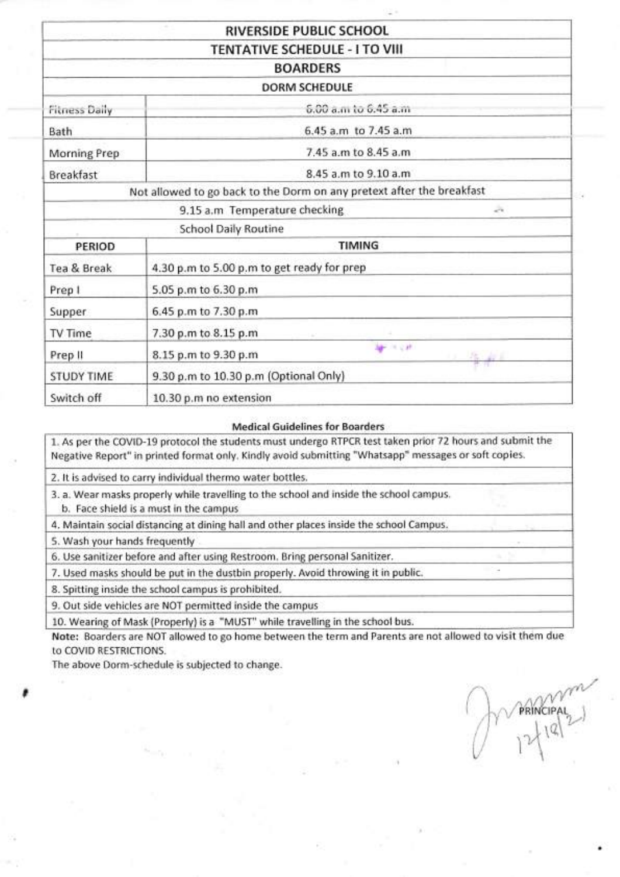|                      | RIVERSIDE PUBLIC SCHOOL                                               |
|----------------------|-----------------------------------------------------------------------|
|                      | <b>TENTATIVE SCHEDULE - I TO VIII</b>                                 |
|                      | <b>BOARDERS</b>                                                       |
|                      | <b>DORM SCHEDULE</b>                                                  |
| <b>Fitness Daily</b> | 6.00 a.m to 6.45 a.m.                                                 |
| Bath                 | 6.45 a.m to 7.45 a.m                                                  |
| Morning Prep         | 7.45 a.m to 8.45 a.m.                                                 |
| <b>Breakfast</b>     | 8.45 a.m to 9.10 a.m.                                                 |
|                      | Not allowed to go back to the Dorm on any pretext after the breakfast |
|                      | 9.15 a.m Temperature checking<br>$\sim$                               |
|                      | <b>School Daily Routine</b>                                           |
| PERIOD               | TIMING                                                                |
| Tea & Break          | 4.30 p.m to 5.00 p.m to get ready for prep                            |
| Prep I               | 5.05 p.m to 6.30 p.m                                                  |
| Supper               | 6.45 p.m to 7.30 p.m                                                  |
| TV Time              | 7.30 p.m to 8.15 p.m                                                  |
| Prep II              | 細く文件<br>8.15 p.m to 9.30 p.m<br>塩。                                    |
| <b>STUDY TIME</b>    | 9.30 p.m to 10.30 p.m (Optional Only)                                 |
| Switch off           | 10.30 p.m no extension                                                |

#### Medical Guidelines for Boarders

1. As per the COVID-19 protocol the students must undergo RTPCR test taken prior 72 hours and submit the Negative Report" in printed format only. Kindly avoid submitting "Whatsapp" messages or soft copies.

2. lt is advised to carry individual thermo water bottles.

3. a. Wear masks properly while travelling to the school and inside the school campus.

b. Face shield is a must in the campus

4. Maintain social distancing at dining hall and other places inside the school Campus.

5. Wash your hands frequently

6. Use sanitizer before and after using Restroom. Bring personal Sanitizer.

7. Used masks should be put in the dustbin properly. Avoid throwing it in public.

8. Spitting inside the school campus is prohibited.

9. Out side vehicles are NOT permitted inside the campus

10. Wearing of Mask (Properly) is a "MUST" while travelling in the school bus.

Note: Boarders are NOT allowed to go home between the term and Parents are not allowed to visit them due to COVID RESTRICTIONS.

The above Dorm-schedule is subjected to change.

<sup>I</sup> /\/1i t,,, ,/j <sup>V</sup>  $\sqrt{1}$  $\bigcup_i \ \mathrm{Id}_i$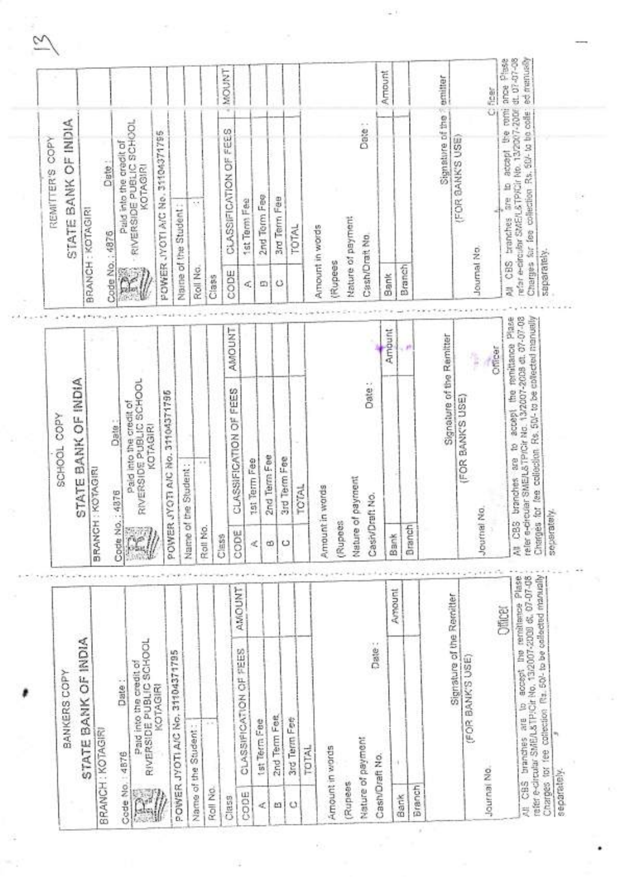| Code No.: 4876<br>Rall No.<br>CODE<br>63回<br>Û.<br>AMOUNT<br>STATE BANK OF INDIA<br>BANKERS COPY                                                                                            |                                                                                                                                                                                   |                           |                            | STATE BANK OF INDIA<br>COPY<br>REMITTER'S                                                             |                                                       |
|---------------------------------------------------------------------------------------------------------------------------------------------------------------------------------------------|-----------------------------------------------------------------------------------------------------------------------------------------------------------------------------------|---------------------------|----------------------------|-------------------------------------------------------------------------------------------------------|-------------------------------------------------------|
|                                                                                                                                                                                             | BANK OF INDIA<br>STATE                                                                                                                                                            |                           |                            | BRANCH : KOTAGIRI                                                                                     |                                                       |
| Date:                                                                                                                                                                                       | BRANCH : KOTAGIRI                                                                                                                                                                 |                           | Code No.; 4876             | Date:                                                                                                 |                                                       |
| Paid into the credit of<br>RIVERSIDE PUBLIC SCHOOL<br>KOTAGIRI                                                                                                                              | Date:                                                                                                                                                                             |                           |                            | Paid into the credit of                                                                               |                                                       |
| POWER JYOTI A/C No. 31104371795                                                                                                                                                             | Paid into the credit of<br>RIVERSIDE PUBLIC SCHOOL<br>into the creatt of<br>KOTAGIRI                                                                                              |                           | $\alpha$                   | RIVERSIDE PUBLIC SCHOOL                                                                               |                                                       |
|                                                                                                                                                                                             | No. 31104371795<br>POWER JYOTI A/C                                                                                                                                                |                           |                            | 31104371795<br>POWER JYOTI AIG No.                                                                    |                                                       |
|                                                                                                                                                                                             | Name of the Student:                                                                                                                                                              |                           |                            | Naite of the Student                                                                                  |                                                       |
|                                                                                                                                                                                             | $= +$                                                                                                                                                                             |                           | Roll No.                   | ×                                                                                                     |                                                       |
| CLASSIFICATION OF FEES                                                                                                                                                                      |                                                                                                                                                                                   |                           | Class                      |                                                                                                       |                                                       |
|                                                                                                                                                                                             | CLASSIFICATION OF FEES                                                                                                                                                            | <b>AMOUNT</b>             | CODE                       | FEES<br>ő<br>CLASSIFICATION                                                                           | MOUNT<br>w                                            |
| ×.                                                                                                                                                                                          | tat Term Fee                                                                                                                                                                      |                           | đ,                         | 1st Term Fee                                                                                          |                                                       |
| ω<br>tet Term Fee                                                                                                                                                                           | Eee<br>2nd Term                                                                                                                                                                   |                           | ω                          | 2nd Term Fee                                                                                          |                                                       |
| O<br>2nd Term Fee                                                                                                                                                                           | $\frac{1}{2}$ ee<br>3rd Term                                                                                                                                                      |                           | Ο                          | 3rd Term Fee                                                                                          |                                                       |
| 3rd Term Fee                                                                                                                                                                                | <b>TOTAL</b>                                                                                                                                                                      |                           |                            | TOTAL                                                                                                 |                                                       |
|                                                                                                                                                                                             |                                                                                                                                                                                   |                           |                            |                                                                                                       |                                                       |
| Rupees                                                                                                                                                                                      | Amount in words                                                                                                                                                                   |                           | Amount in words<br>(Rupees |                                                                                                       |                                                       |
|                                                                                                                                                                                             | Nature of payment                                                                                                                                                                 |                           | Nature of payment          |                                                                                                       |                                                       |
| Date:                                                                                                                                                                                       | Date:<br>CasivDraft No.                                                                                                                                                           |                           | Cash/Drait No              | Date:                                                                                                 |                                                       |
| <b>Bank</b><br>Amount                                                                                                                                                                       |                                                                                                                                                                                   | Amount                    | Bank                       |                                                                                                       | Amount                                                |
| Branch                                                                                                                                                                                      |                                                                                                                                                                                   | $\mathbf{r}^{\mathrm{p}}$ | Branch                     |                                                                                                       |                                                       |
|                                                                                                                                                                                             | Signature of the Remitter                                                                                                                                                         |                           |                            |                                                                                                       | Signature of the armitter                             |
| Signature of the Remitter                                                                                                                                                                   | (FOR BANK'S USE)                                                                                                                                                                  |                           |                            | (FOR BANK'S USE)                                                                                      |                                                       |
| Journal No.<br>(FOR BANK'S USE)                                                                                                                                                             |                                                                                                                                                                                   | ţ                         | Journal No                 |                                                                                                       |                                                       |
| Officer                                                                                                                                                                                     |                                                                                                                                                                                   | Compar                    | ä                          | CBS tranches are to                                                                                   | accept the romi ance Pluse<br>Ficer<br>$\overline{G}$ |
| All CBS<br>Charges for ree collection Rz. 50/- to be collected manually<br>All: CBS branches are to accept the remittered Plate<br>refer e-circular SMEA&TP/Cir No. 13/2007-2000 & 07-07-08 | are to accept the remitance Plase<br>ATPICHING 13/2007-2008 dt. 07-07-08<br>ection. Rs. 50 - to be collected manually<br>reler e-drouar SME/L<br>Charges for lee coll<br>branches |                           | saparately.                | Charges for fee collection Rs. 60/- to tre collet<br>refar e-circular StAEH & TPICIr No. 13/2007-2006 | dt. 07-07-08<br>ed menusily                           |
| separately.                                                                                                                                                                                 |                                                                                                                                                                                   |                           |                            |                                                                                                       |                                                       |
|                                                                                                                                                                                             |                                                                                                                                                                                   |                           |                            |                                                                                                       |                                                       |